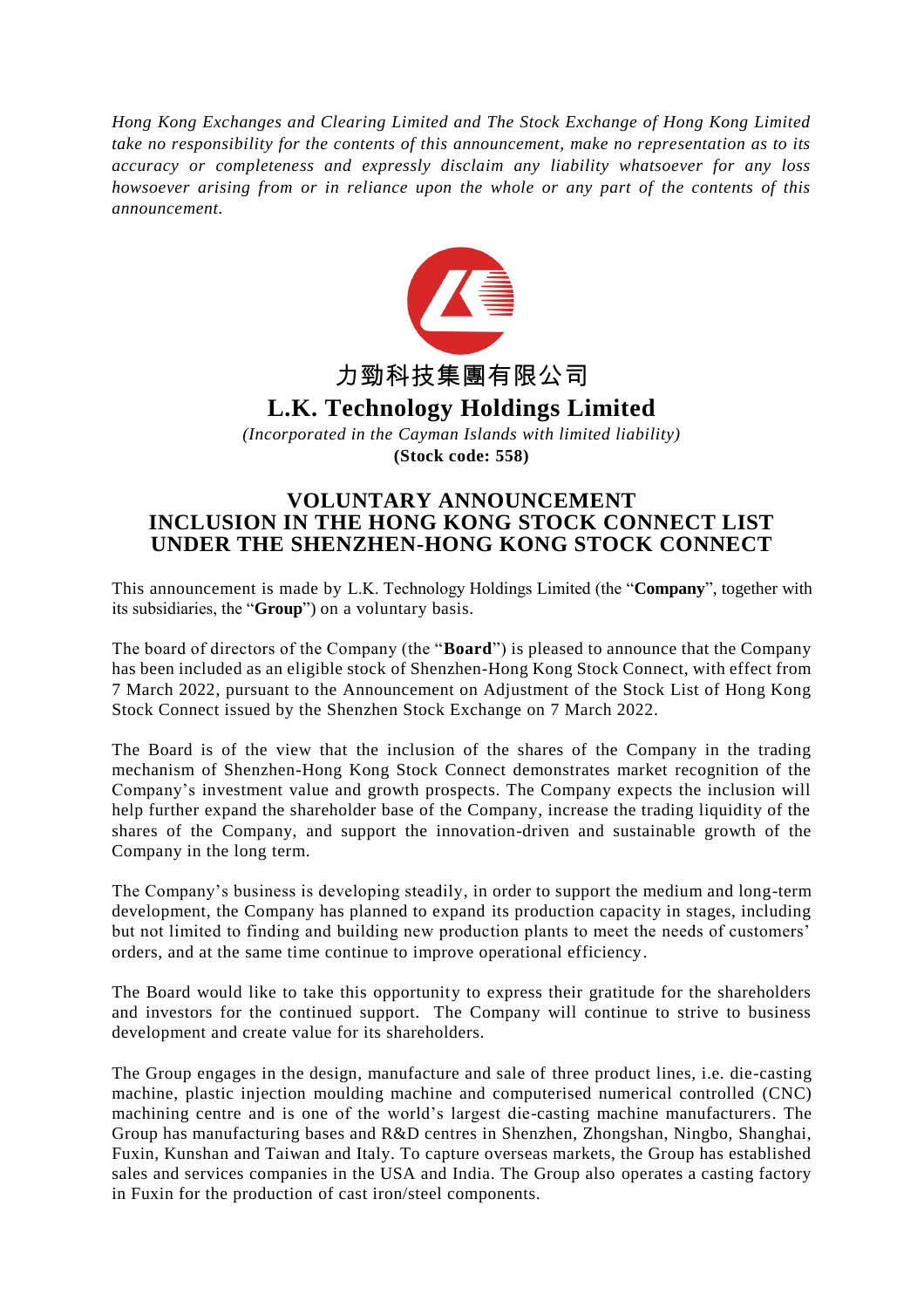*Hong Kong Exchanges and Clearing Limited and The Stock Exchange of Hong Kong Limited take no responsibility for the contents of this announcement, make no representation as to its accuracy or completeness and expressly disclaim any liability whatsoever for any loss howsoever arising from or in reliance upon the whole or any part of the contents of this announcement.*



## **VOLUNTARY ANNOUNCEMENT INCLUSION IN THE HONG KONG STOCK CONNECT LIST UNDER THE SHENZHEN-HONG KONG STOCK CONNECT**

This announcement is made by L.K. Technology Holdings Limited (the "**Company**", together with its subsidiaries, the "**Group**") on a voluntary basis.

The board of directors of the Company (the "**Board**") is pleased to announce that the Company has been included as an eligible stock of Shenzhen-Hong Kong Stock Connect, with effect from 7 March 2022, pursuant to the Announcement on Adjustment of the Stock List of Hong Kong Stock Connect issued by the Shenzhen Stock Exchange on 7 March 2022.

The Board is of the view that the inclusion of the shares of the Company in the trading mechanism of Shenzhen-Hong Kong Stock Connect demonstrates market recognition of the Company's investment value and growth prospects. The Company expects the inclusion will help further expand the shareholder base of the Company, increase the trading liquidity of the shares of the Company, and support the innovation-driven and sustainable growth of the Company in the long term.

The Company's business is developing steadily, in order to support the medium and long-term development, the Company has planned to expand its production capacity in stages, including but not limited to finding and building new production plants to meet the needs of customers' orders, and at the same time continue to improve operational efficiency.

The Board would like to take this opportunity to express their gratitude for the shareholders and investors for the continued support. The Company will continue to strive to business development and create value for its shareholders.

The Group engages in the design, manufacture and sale of three product lines, i.e. die-casting machine, plastic injection moulding machine and computerised numerical controlled (CNC) machining centre and is one of the world's largest die-casting machine manufacturers. The Group has manufacturing bases and R&D centres in Shenzhen, Zhongshan, Ningbo, Shanghai, Fuxin, Kunshan and Taiwan and Italy. To capture overseas markets, the Group has established sales and services companies in the USA and India. The Group also operates a casting factory in Fuxin for the production of cast iron/steel components.